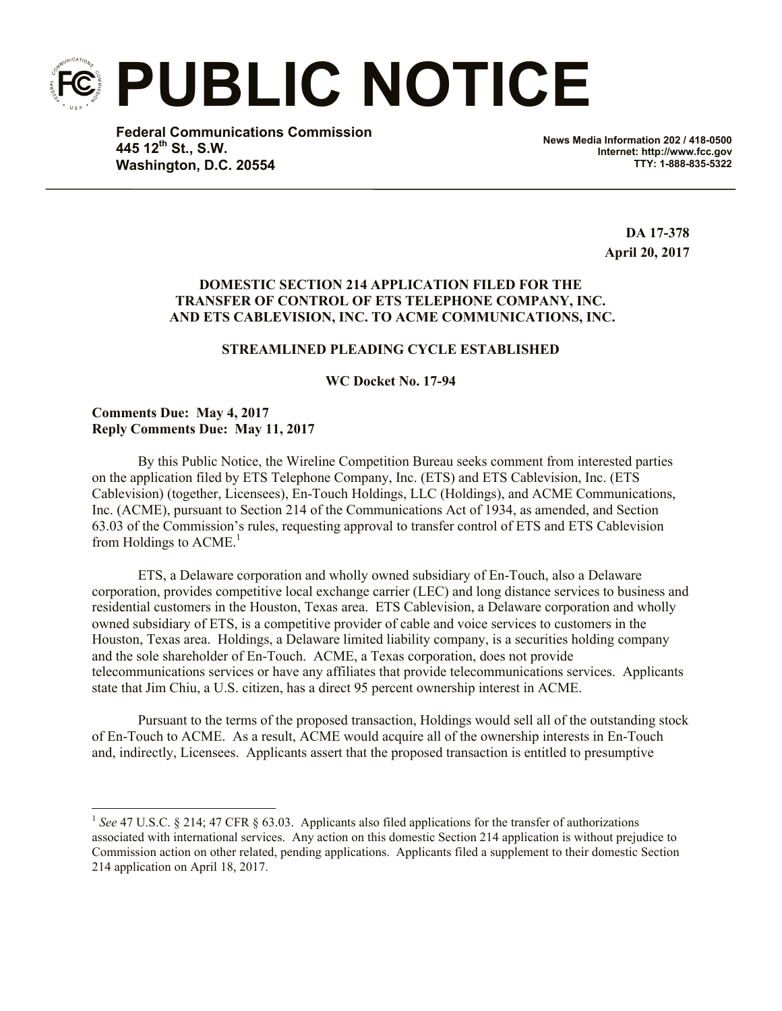**PUBLIC NOTICE**

**Federal Communications Commission 445 12th St., S.W. Washington, D.C. 20554**

**News Media Information 202 / 418-0500 Internet: http://www.fcc.gov TTY: 1-888-835-5322**

> **DA 17-378 April 20, 2017**

## **DOMESTIC SECTION 214 APPLICATION FILED FOR THE TRANSFER OF CONTROL OF ETS TELEPHONE COMPANY, INC. AND ETS CABLEVISION, INC. TO ACME COMMUNICATIONS, INC.**

## **STREAMLINED PLEADING CYCLE ESTABLISHED**

**WC Docket No. 17-94**

**Comments Due: May 4, 2017 Reply Comments Due: May 11, 2017**

l

By this Public Notice, the Wireline Competition Bureau seeks comment from interested parties on the application filed by ETS Telephone Company, Inc. (ETS) and ETS Cablevision, Inc. (ETS Cablevision) (together, Licensees), En-Touch Holdings, LLC (Holdings), and ACME Communications, Inc. (ACME), pursuant to Section 214 of the Communications Act of 1934, as amended, and Section 63.03 of the Commission's rules, requesting approval to transfer control of ETS and ETS Cablevision from Holdings to  $\text{ACME}$ <sup>1</sup>

ETS, a Delaware corporation and wholly owned subsidiary of En-Touch, also a Delaware corporation, provides competitive local exchange carrier (LEC) and long distance services to business and residential customers in the Houston, Texas area. ETS Cablevision, a Delaware corporation and wholly owned subsidiary of ETS, is a competitive provider of cable and voice services to customers in the Houston, Texas area. Holdings, a Delaware limited liability company, is a securities holding company and the sole shareholder of En-Touch. ACME, a Texas corporation, does not provide telecommunications services or have any affiliates that provide telecommunications services. Applicants state that Jim Chiu, a U.S. citizen, has a direct 95 percent ownership interest in ACME.

Pursuant to the terms of the proposed transaction, Holdings would sell all of the outstanding stock of En-Touch to ACME. As a result, ACME would acquire all of the ownership interests in En-Touch and, indirectly, Licensees. Applicants assert that the proposed transaction is entitled to presumptive

<sup>&</sup>lt;sup>1</sup> See 47 U.S.C. § 214; 47 CFR § 63.03. Applicants also filed applications for the transfer of authorizations associated with international services. Any action on this domestic Section 214 application is without prejudice to Commission action on other related, pending applications. Applicants filed a supplement to their domestic Section 214 application on April 18, 2017.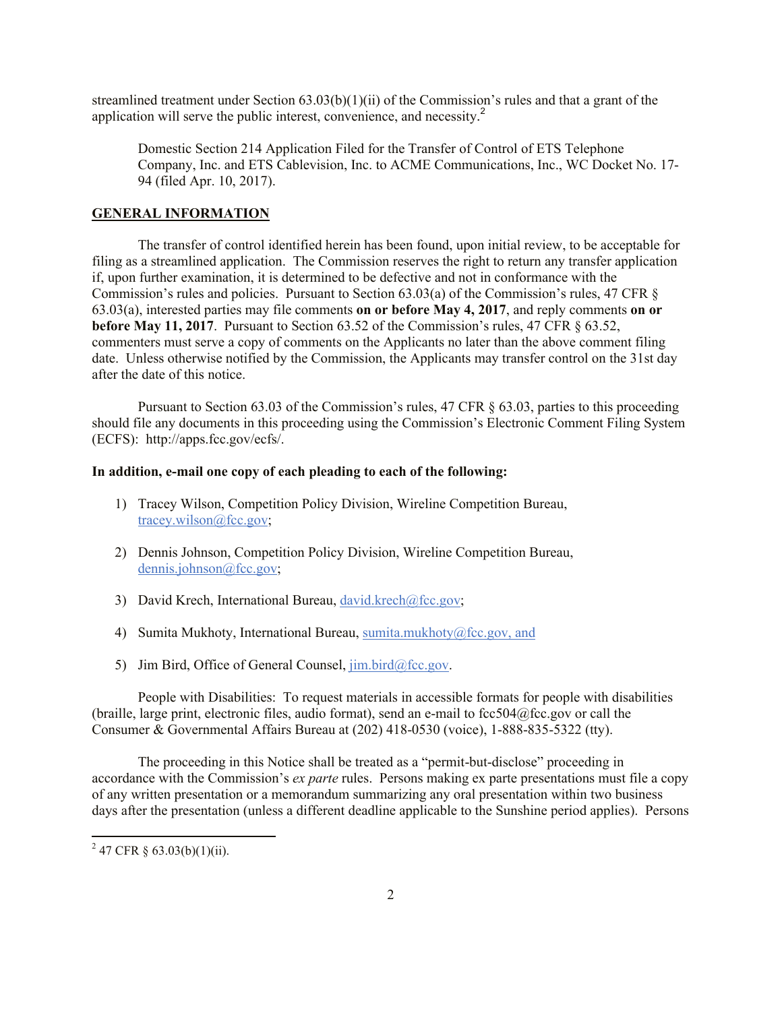streamlined treatment under Section 63.03(b)(1)(ii) of the Commission's rules and that a grant of the application will serve the public interest, convenience, and necessity. 2

Domestic Section 214 Application Filed for the Transfer of Control of ETS Telephone Company, Inc. and ETS Cablevision, Inc. to ACME Communications, Inc., WC Docket No. 17- 94 (filed Apr. 10, 2017).

## **GENERAL INFORMATION**

The transfer of control identified herein has been found, upon initial review, to be acceptable for filing as a streamlined application. The Commission reserves the right to return any transfer application if, upon further examination, it is determined to be defective and not in conformance with the Commission's rules and policies. Pursuant to Section 63.03(a) of the Commission's rules, 47 CFR § 63.03(a), interested parties may file comments **on or before May 4, 2017**, and reply comments **on or before May 11, 2017**. Pursuant to Section 63.52 of the Commission's rules, 47 CFR § 63.52, commenters must serve a copy of comments on the Applicants no later than the above comment filing date. Unless otherwise notified by the Commission, the Applicants may transfer control on the 31st day after the date of this notice.

Pursuant to Section 63.03 of the Commission's rules, 47 CFR § 63.03, parties to this proceeding should file any documents in this proceeding using the Commission's Electronic Comment Filing System (ECFS): http://apps.fcc.gov/ecfs/.

## **In addition, e-mail one copy of each pleading to each of the following:**

- 1) Tracey Wilson, Competition Policy Division, Wireline Competition Bureau, tracey.wilson@fcc.gov;
- 2) Dennis Johnson, Competition Policy Division, Wireline Competition Bureau, dennis.johnson@fcc.gov;
- 3) David Krech, International Bureau, david.krech@fcc.gov;
- 4) Sumita Mukhoty, International Bureau, sumita.mukhoty@fcc.gov, and
- 5) Jim Bird, Office of General Counsel,  $\overline{\lim_{b} \cdot \lim_{c} \cdot \lim_{c} \cdot \cos_{c}}$ .

People with Disabilities: To request materials in accessible formats for people with disabilities (braille, large print, electronic files, audio format), send an e-mail to fcc504@fcc.gov or call the Consumer & Governmental Affairs Bureau at (202) 418-0530 (voice), 1-888-835-5322 (tty).

The proceeding in this Notice shall be treated as a "permit-but-disclose" proceeding in accordance with the Commission's *ex parte* rules. Persons making ex parte presentations must file a copy of any written presentation or a memorandum summarizing any oral presentation within two business days after the presentation (unless a different deadline applicable to the Sunshine period applies). Persons

l

 $2^{2}$  47 CFR § 63.03(b)(1)(ii).